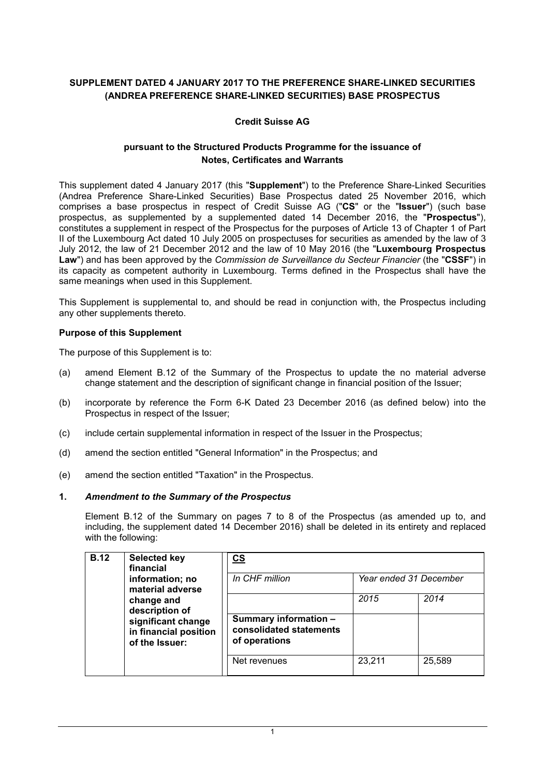# **SUPPLEMENT DATED 4 JANUARY 2017 TO THE PREFERENCE SHARE-LINKED SECURITIES (ANDREA PREFERENCE SHARE-LINKED SECURITIES) BASE PROSPECTUS**

# **Credit Suisse AG**

## **pursuant to the Structured Products Programme for the issuance of Notes, Certificates and Warrants**

This supplement dated 4 January 2017 (this "**Supplement**") to the Preference Share-Linked Securities (Andrea Preference Share-Linked Securities) Base Prospectus dated 25 November 2016, which comprises a base prospectus in respect of Credit Suisse AG ("**CS**" or the "**Issuer**") (such base prospectus, as supplemented by a supplemented dated 14 December 2016, the "**Prospectus**"), constitutes a supplement in respect of the Prospectus for the purposes of Article 13 of Chapter 1 of Part II of the Luxembourg Act dated 10 July 2005 on prospectuses for securities as amended by the law of 3 July 2012, the law of 21 December 2012 and the law of 10 May 2016 (the "**Luxembourg Prospectus Law**") and has been approved by the *Commission de Surveillance du Secteur Financier* (the "**CSSF**") in its capacity as competent authority in Luxembourg. Terms defined in the Prospectus shall have the same meanings when used in this Supplement.

This Supplement is supplemental to, and should be read in conjunction with, the Prospectus including any other supplements thereto.

## **Purpose of this Supplement**

The purpose of this Supplement is to:

- (a) amend Element B.12 of the Summary of the Prospectus to update the no material adverse change statement and the description of significant change in financial position of the Issuer;
- (b) incorporate by reference the Form 6-K Dated 23 December 2016 (as defined below) into the Prospectus in respect of the Issuer;
- (c) include certain supplemental information in respect of the Issuer in the Prospectus;
- (d) amend the section entitled "General Information" in the Prospectus; and
- (e) amend the section entitled "Taxation" in the Prospectus.

## **1.** *Amendment to the Summary of the Prospectus*

Element B.12 of the Summary on pages 7 to 8 of the Prospectus (as amended up to, and including, the supplement dated 14 December 2016) shall be deleted in its entirety and replaced with the following:

| <b>B.12</b> | <b>Selected key</b><br>financial<br>information; no<br>material adverse<br>change and<br>description of<br>significant change<br>in financial position<br>of the Issuer: | <u>cs</u><br>In CHF million<br>Year ended 31 December             |        |        |
|-------------|--------------------------------------------------------------------------------------------------------------------------------------------------------------------------|-------------------------------------------------------------------|--------|--------|
|             |                                                                                                                                                                          |                                                                   |        |        |
|             |                                                                                                                                                                          |                                                                   | 2015   | 2014   |
|             |                                                                                                                                                                          | Summary information -<br>consolidated statements<br>of operations |        |        |
|             |                                                                                                                                                                          | Net revenues                                                      | 23,211 | 25,589 |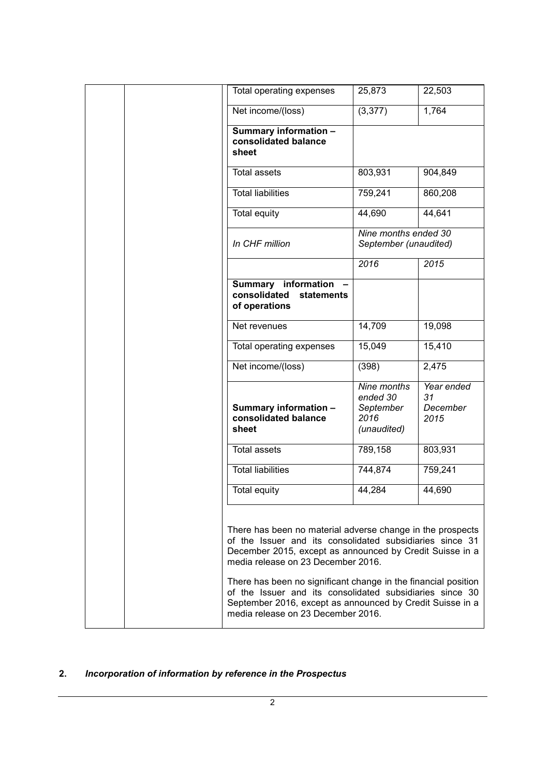| Total operating expenses                                                                                                                                                                                                                                                                                                                                                                                                                                  | 25,873                                                      | 22,503                               |
|-----------------------------------------------------------------------------------------------------------------------------------------------------------------------------------------------------------------------------------------------------------------------------------------------------------------------------------------------------------------------------------------------------------------------------------------------------------|-------------------------------------------------------------|--------------------------------------|
| Net income/(loss)                                                                                                                                                                                                                                                                                                                                                                                                                                         | (3, 377)                                                    | 1,764                                |
| Summary information -<br>consolidated balance<br>sheet                                                                                                                                                                                                                                                                                                                                                                                                    |                                                             |                                      |
| <b>Total assets</b>                                                                                                                                                                                                                                                                                                                                                                                                                                       | 803,931                                                     | 904,849                              |
| Total liabilities                                                                                                                                                                                                                                                                                                                                                                                                                                         | 759,241                                                     | 860,208                              |
| <b>Total equity</b>                                                                                                                                                                                                                                                                                                                                                                                                                                       | 44,690                                                      | 44,641                               |
| In CHF million                                                                                                                                                                                                                                                                                                                                                                                                                                            | Nine months ended 30<br>September (unaudited)               |                                      |
|                                                                                                                                                                                                                                                                                                                                                                                                                                                           | 2016                                                        | 2015                                 |
| Summary information<br>consolidated<br>statements<br>of operations                                                                                                                                                                                                                                                                                                                                                                                        |                                                             |                                      |
| Net revenues                                                                                                                                                                                                                                                                                                                                                                                                                                              | 14,709                                                      | 19,098                               |
| Total operating expenses                                                                                                                                                                                                                                                                                                                                                                                                                                  | 15,049                                                      | 15,410                               |
| Net income/(loss)                                                                                                                                                                                                                                                                                                                                                                                                                                         | (398)                                                       | 2,475                                |
| Summary information -<br>consolidated balance<br>sheet                                                                                                                                                                                                                                                                                                                                                                                                    | Nine months<br>ended 30<br>September<br>2016<br>(unaudited) | Year ended<br>31<br>December<br>2015 |
| <b>Total assets</b>                                                                                                                                                                                                                                                                                                                                                                                                                                       | 789,158                                                     | 803,931                              |
| <b>Total liabilities</b>                                                                                                                                                                                                                                                                                                                                                                                                                                  | 744,874                                                     | 759,241                              |
| Total equity                                                                                                                                                                                                                                                                                                                                                                                                                                              | 44,284                                                      | 44,690                               |
| There has been no material adverse change in the prospects<br>of the Issuer and its consolidated subsidiaries since 31<br>December 2015, except as announced by Credit Suisse in a<br>media release on 23 December 2016.<br>There has been no significant change in the financial position<br>of the Issuer and its consolidated subsidiaries since 30<br>September 2016, except as announced by Credit Suisse in a<br>media release on 23 December 2016. |                                                             |                                      |

# **2.** *Incorporation of information by reference in the Prospectus*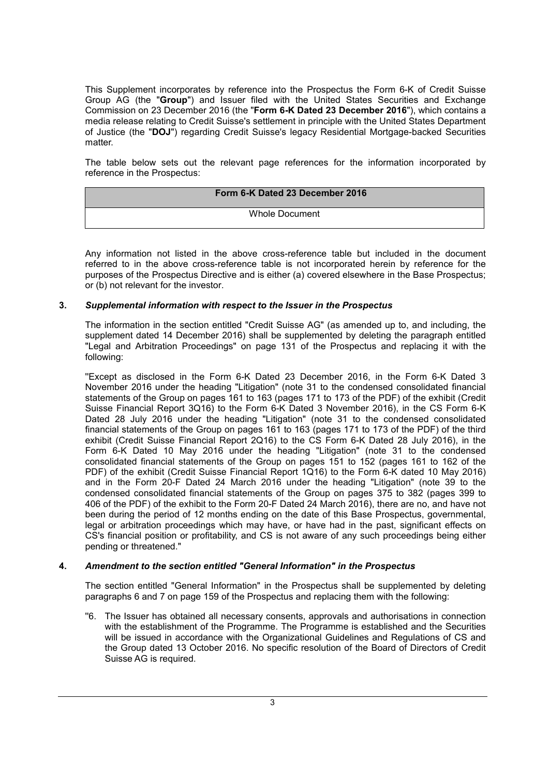This Supplement incorporates by reference into the Prospectus the Form 6-K of Credit Suisse Group AG (the "**Group**") and Issuer filed with the United States Securities and Exchange Commission on 23 December 2016 (the "**Form 6-K Dated 23 December 2016**"), which contains a media release relating to Credit Suisse's settlement in principle with the United States Department of Justice (the "**DOJ**") regarding Credit Suisse's legacy Residential Mortgage-backed Securities matter.

The table below sets out the relevant page references for the information incorporated by reference in the Prospectus:

| Form 6-K Dated 23 December 2016 |
|---------------------------------|
| Whole Document                  |

Any information not listed in the above cross-reference table but included in the document referred to in the above cross-reference table is not incorporated herein by reference for the purposes of the Prospectus Directive and is either (a) covered elsewhere in the Base Prospectus; or (b) not relevant for the investor.

## **3.** *Supplemental information with respect to the Issuer in the Prospectus*

The information in the section entitled "Credit Suisse AG" (as amended up to, and including, the supplement dated 14 December 2016) shall be supplemented by deleting the paragraph entitled "Legal and Arbitration Proceedings" on page 131 of the Prospectus and replacing it with the following:

''Except as disclosed in the Form 6-K Dated 23 December 2016, in the Form 6-K Dated 3 November 2016 under the heading "Litigation" (note 31 to the condensed consolidated financial statements of the Group on pages 161 to 163 (pages 171 to 173 of the PDF) of the exhibit (Credit Suisse Financial Report 3Q16) to the Form 6-K Dated 3 November 2016), in the CS Form 6-K Dated 28 July 2016 under the heading "Litigation" (note 31 to the condensed consolidated financial statements of the Group on pages 161 to 163 (pages 171 to 173 of the PDF) of the third exhibit (Credit Suisse Financial Report 2Q16) to the CS Form 6-K Dated 28 July 2016), in the Form 6-K Dated 10 May 2016 under the heading "Litigation" (note 31 to the condensed consolidated financial statements of the Group on pages 151 to 152 (pages 161 to 162 of the PDF) of the exhibit (Credit Suisse Financial Report 1Q16) to the Form 6-K dated 10 May 2016) and in the Form 20-F Dated 24 March 2016 under the heading "Litigation" (note 39 to the condensed consolidated financial statements of the Group on pages 375 to 382 (pages 399 to 406 of the PDF) of the exhibit to the Form 20-F Dated 24 March 2016), there are no, and have not been during the period of 12 months ending on the date of this Base Prospectus, governmental, legal or arbitration proceedings which may have, or have had in the past, significant effects on CS's financial position or profitability, and CS is not aware of any such proceedings being either pending or threatened."

#### **4.** *Amendment to the section entitled "General Information" in the Prospectus*

The section entitled "General Information" in the Prospectus shall be supplemented by deleting paragraphs 6 and 7 on page 159 of the Prospectus and replacing them with the following:

''6. The Issuer has obtained all necessary consents, approvals and authorisations in connection with the establishment of the Programme. The Programme is established and the Securities will be issued in accordance with the Organizational Guidelines and Regulations of CS and the Group dated 13 October 2016. No specific resolution of the Board of Directors of Credit Suisse AG is required.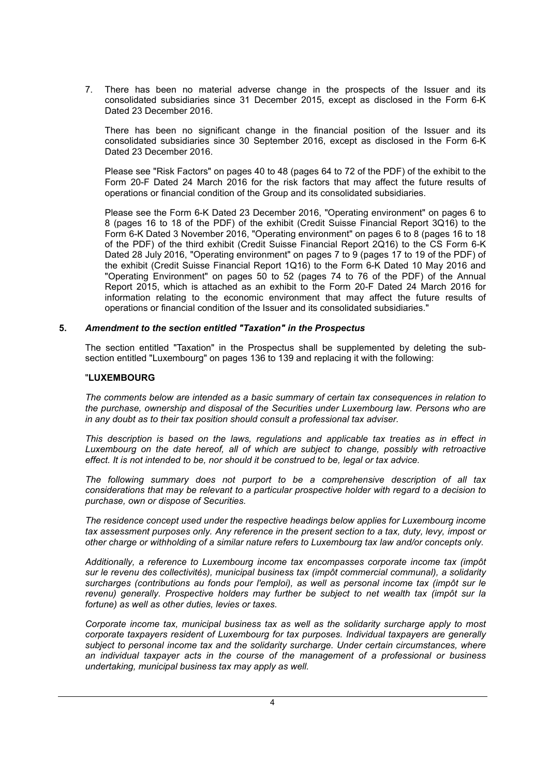7. There has been no material adverse change in the prospects of the Issuer and its consolidated subsidiaries since 31 December 2015, except as disclosed in the Form 6-K Dated 23 December 2016.

There has been no significant change in the financial position of the Issuer and its consolidated subsidiaries since 30 September 2016, except as disclosed in the Form 6-K Dated 23 December 2016.

Please see "Risk Factors" on pages 40 to 48 (pages 64 to 72 of the PDF) of the exhibit to the Form 20-F Dated 24 March 2016 for the risk factors that may affect the future results of operations or financial condition of the Group and its consolidated subsidiaries.

Please see the Form 6-K Dated 23 December 2016, "Operating environment" on pages 6 to 8 (pages 16 to 18 of the PDF) of the exhibit (Credit Suisse Financial Report 3Q16) to the Form 6-K Dated 3 November 2016, "Operating environment" on pages 6 to 8 (pages 16 to 18 of the PDF) of the third exhibit (Credit Suisse Financial Report 2Q16) to the CS Form 6-K Dated 28 July 2016, "Operating environment" on pages 7 to 9 (pages 17 to 19 of the PDF) of the exhibit (Credit Suisse Financial Report 1Q16) to the Form 6-K Dated 10 May 2016 and "Operating Environment" on pages 50 to 52 (pages 74 to 76 of the PDF) of the Annual Report 2015, which is attached as an exhibit to the Form 20-F Dated 24 March 2016 for information relating to the economic environment that may affect the future results of operations or financial condition of the Issuer and its consolidated subsidiaries."

## **5.** *Amendment to the section entitled "Taxation" in the Prospectus*

The section entitled "Taxation" in the Prospectus shall be supplemented by deleting the subsection entitled "Luxembourg" on pages 136 to 139 and replacing it with the following:

## "**LUXEMBOURG**

*The comments below are intended as a basic summary of certain tax consequences in relation to the purchase, ownership and disposal of the Securities under Luxembourg law. Persons who are in any doubt as to their tax position should consult a professional tax adviser.*

*This description is based on the laws, regulations and applicable tax treaties as in effect in Luxembourg on the date hereof, all of which are subject to change, possibly with retroactive effect. It is not intended to be, nor should it be construed to be, legal or tax advice.*

*The following summary does not purport to be a comprehensive description of all tax considerations that may be relevant to a particular prospective holder with regard to a decision to purchase, own or dispose of Securities.*

*The residence concept used under the respective headings below applies for Luxembourg income tax assessment purposes only. Any reference in the present section to a tax, duty, levy, impost or other charge or withholding of a similar nature refers to Luxembourg tax law and/or concepts only.*

*Additionally, a reference to Luxembourg income tax encompasses corporate income tax (impôt sur le revenu des collectivités), municipal business tax (impôt commercial communal), a solidarity surcharges (contributions au fonds pour l'emploi), as well as personal income tax (impôt sur le revenu) generally. Prospective holders may further be subject to net wealth tax (impôt sur la fortune) as well as other duties, levies or taxes.*

*Corporate income tax, municipal business tax as well as the solidarity surcharge apply to most corporate taxpayers resident of Luxembourg for tax purposes. Individual taxpayers are generally subject to personal income tax and the solidarity surcharge. Under certain circumstances, where an individual taxpayer acts in the course of the management of a professional or business undertaking, municipal business tax may apply as well.*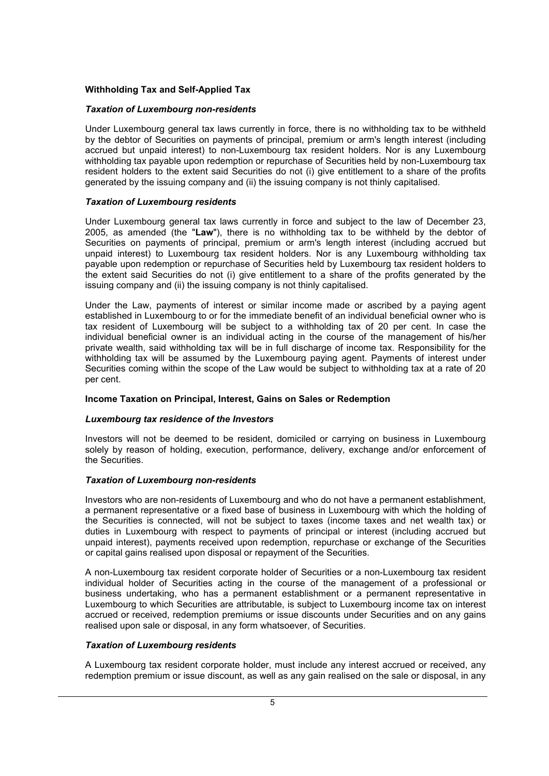## **Withholding Tax and Self-Applied Tax**

#### *Taxation of Luxembourg non-residents*

Under Luxembourg general tax laws currently in force, there is no withholding tax to be withheld by the debtor of Securities on payments of principal, premium or arm's length interest (including accrued but unpaid interest) to non-Luxembourg tax resident holders. Nor is any Luxembourg withholding tax payable upon redemption or repurchase of Securities held by non-Luxembourg tax resident holders to the extent said Securities do not (i) give entitlement to a share of the profits generated by the issuing company and (ii) the issuing company is not thinly capitalised.

#### *Taxation of Luxembourg residents*

Under Luxembourg general tax laws currently in force and subject to the law of December 23, 2005, as amended (the "**Law**"), there is no withholding tax to be withheld by the debtor of Securities on payments of principal, premium or arm's length interest (including accrued but unpaid interest) to Luxembourg tax resident holders. Nor is any Luxembourg withholding tax payable upon redemption or repurchase of Securities held by Luxembourg tax resident holders to the extent said Securities do not (i) give entitlement to a share of the profits generated by the issuing company and (ii) the issuing company is not thinly capitalised.

Under the Law, payments of interest or similar income made or ascribed by a paying agent established in Luxembourg to or for the immediate benefit of an individual beneficial owner who is tax resident of Luxembourg will be subject to a withholding tax of 20 per cent. In case the individual beneficial owner is an individual acting in the course of the management of his/her private wealth, said withholding tax will be in full discharge of income tax. Responsibility for the withholding tax will be assumed by the Luxembourg paying agent. Payments of interest under Securities coming within the scope of the Law would be subject to withholding tax at a rate of 20 per cent.

## **Income Taxation on Principal, Interest, Gains on Sales or Redemption**

#### *Luxembourg tax residence of the Investors*

Investors will not be deemed to be resident, domiciled or carrying on business in Luxembourg solely by reason of holding, execution, performance, delivery, exchange and/or enforcement of the Securities.

#### *Taxation of Luxembourg non-residents*

Investors who are non-residents of Luxembourg and who do not have a permanent establishment, a permanent representative or a fixed base of business in Luxembourg with which the holding of the Securities is connected, will not be subject to taxes (income taxes and net wealth tax) or duties in Luxembourg with respect to payments of principal or interest (including accrued but unpaid interest), payments received upon redemption, repurchase or exchange of the Securities or capital gains realised upon disposal or repayment of the Securities.

A non-Luxembourg tax resident corporate holder of Securities or a non-Luxembourg tax resident individual holder of Securities acting in the course of the management of a professional or business undertaking, who has a permanent establishment or a permanent representative in Luxembourg to which Securities are attributable, is subject to Luxembourg income tax on interest accrued or received, redemption premiums or issue discounts under Securities and on any gains realised upon sale or disposal, in any form whatsoever, of Securities.

#### *Taxation of Luxembourg residents*

A Luxembourg tax resident corporate holder, must include any interest accrued or received, any redemption premium or issue discount, as well as any gain realised on the sale or disposal, in any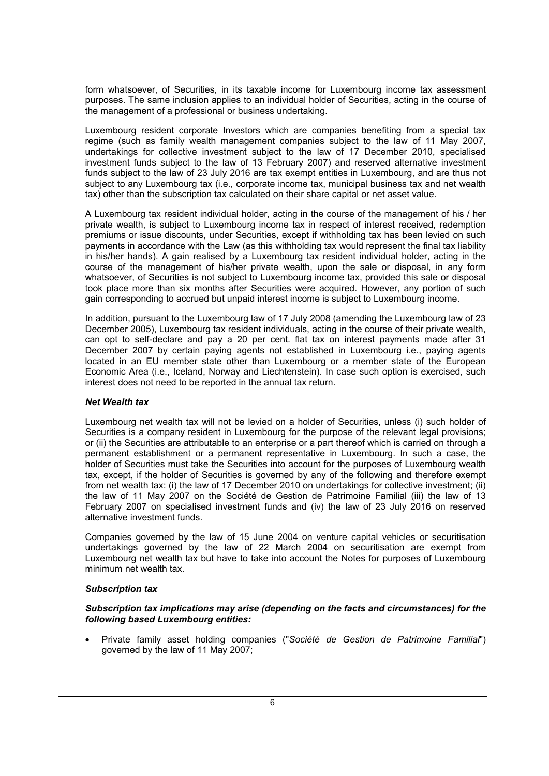form whatsoever, of Securities, in its taxable income for Luxembourg income tax assessment purposes. The same inclusion applies to an individual holder of Securities, acting in the course of the management of a professional or business undertaking.

Luxembourg resident corporate Investors which are companies benefiting from a special tax regime (such as family wealth management companies subject to the law of 11 May 2007, undertakings for collective investment subject to the law of 17 December 2010, specialised investment funds subject to the law of 13 February 2007) and reserved alternative investment funds subject to the law of 23 July 2016 are tax exempt entities in Luxembourg, and are thus not subject to any Luxembourg tax (i.e., corporate income tax, municipal business tax and net wealth tax) other than the subscription tax calculated on their share capital or net asset value.

A Luxembourg tax resident individual holder, acting in the course of the management of his / her private wealth, is subject to Luxembourg income tax in respect of interest received, redemption premiums or issue discounts, under Securities, except if withholding tax has been levied on such payments in accordance with the Law (as this withholding tax would represent the final tax liability in his/her hands). A gain realised by a Luxembourg tax resident individual holder, acting in the course of the management of his/her private wealth, upon the sale or disposal, in any form whatsoever, of Securities is not subject to Luxembourg income tax, provided this sale or disposal took place more than six months after Securities were acquired. However, any portion of such gain corresponding to accrued but unpaid interest income is subject to Luxembourg income.

In addition, pursuant to the Luxembourg law of 17 July 2008 (amending the Luxembourg law of 23 December 2005), Luxembourg tax resident individuals, acting in the course of their private wealth, can opt to self-declare and pay a 20 per cent. flat tax on interest payments made after 31 December 2007 by certain paying agents not established in Luxembourg i.e., paying agents located in an EU member state other than Luxembourg or a member state of the European Economic Area (i.e., Iceland, Norway and Liechtenstein). In case such option is exercised, such interest does not need to be reported in the annual tax return.

## *Net Wealth tax*

Luxembourg net wealth tax will not be levied on a holder of Securities, unless (i) such holder of Securities is a company resident in Luxembourg for the purpose of the relevant legal provisions; or (ii) the Securities are attributable to an enterprise or a part thereof which is carried on through a permanent establishment or a permanent representative in Luxembourg. In such a case, the holder of Securities must take the Securities into account for the purposes of Luxembourg wealth tax, except, if the holder of Securities is governed by any of the following and therefore exempt from net wealth tax: (i) the law of 17 December 2010 on undertakings for collective investment; (ii) the law of 11 May 2007 on the Société de Gestion de Patrimoine Familial (iii) the law of 13 February 2007 on specialised investment funds and (iv) the law of 23 July 2016 on reserved alternative investment funds.

Companies governed by the law of 15 June 2004 on venture capital vehicles or securitisation undertakings governed by the law of 22 March 2004 on securitisation are exempt from Luxembourg net wealth tax but have to take into account the Notes for purposes of Luxembourg minimum net wealth tax.

## *Subscription tax*

#### *Subscription tax implications may arise (depending on the facts and circumstances) for the following based Luxembourg entities:*

 Private family asset holding companies ("*Société de Gestion de Patrimoine Familial*") governed by the law of 11 May 2007;